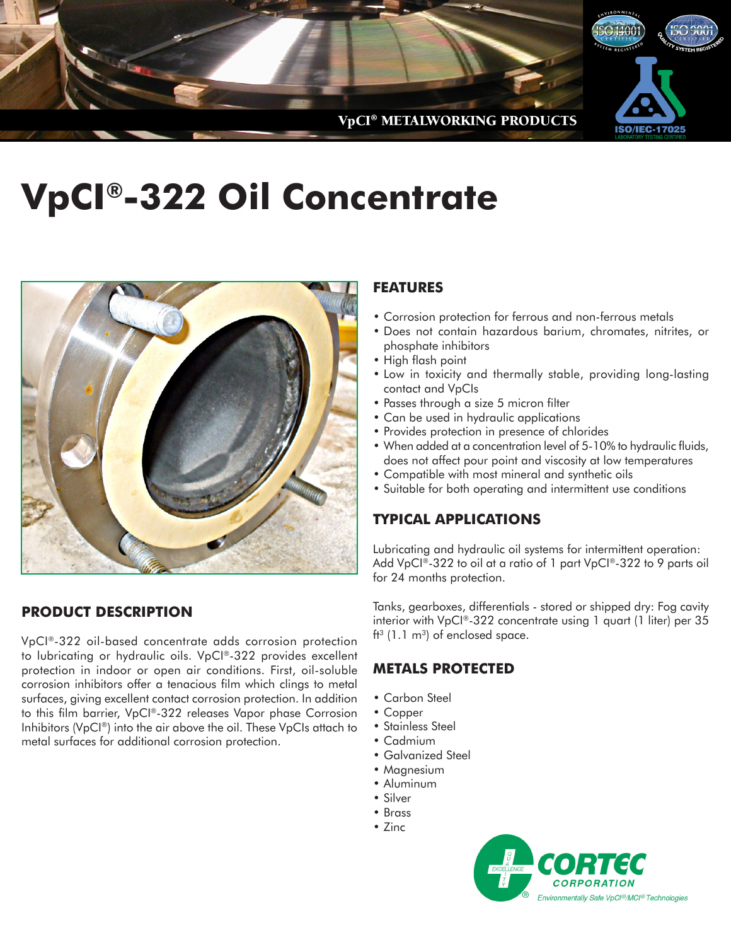

# **VpCI®-322 Oil Concentrate**



# **PRODUCT DESCRIPTION**

VpCI®-322 oil-based concentrate adds corrosion protection to lubricating or hydraulic oils. VpCI®-322 provides excellent protection in indoor or open air conditions. First, oil-soluble corrosion inhibitors offer a tenacious film which clings to metal surfaces, giving excellent contact corrosion protection. In addition to this film barrier, VpCI®-322 releases Vapor phase Corrosion Inhibitors (VpCI®) into the air above the oil. These VpCIs attach to metal surfaces for additional corrosion protection.

# **FEATURES**

- Corrosion protection for ferrous and non-ferrous metals
- Does not contain hazardous barium, chromates, nitrites, or phosphate inhibitors
- High flash point
- Low in toxicity and thermally stable, providing long-lasting contact and VpCIs
- Passes through a size 5 micron filter
- Can be used in hydraulic applications
- Provides protection in presence of chlorides
- When added at a concentration level of 5-10% to hydraulic fluids, does not affect pour point and viscosity at low temperatures
- Compatible with most mineral and synthetic oils
- Suitable for both operating and intermittent use conditions

### **TYPICAL APPLICATIONS**

Lubricating and hydraulic oil systems for intermittent operation: Add VpCI®-322 to oil at a ratio of 1 part VpCI®-322 to 9 parts oil for 24 months protection.

Tanks, gearboxes, differentials - stored or shipped dry: Fog cavity interior with VpCI®-322 concentrate using 1 quart (1 liter) per 35  $ft<sup>3</sup>$  (1.1 m<sup>3</sup>) of enclosed space.

### **METALS PROTECTED**

- Carbon Steel
- Copper
- Stainless Steel
- Cadmium
- Galvanized Steel
- Magnesium
- Aluminum
- Silver
- Brass
- Zinc